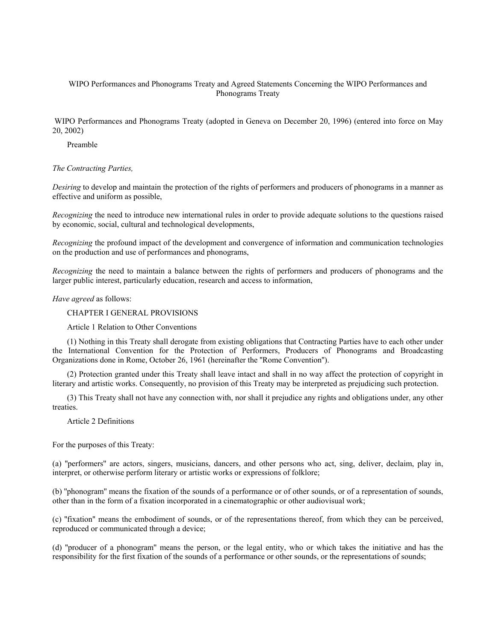# WIPO Performances and Phonograms Treaty and Agreed Statements Concerning the WIPO Performances and Phonograms Treaty

 WIPO Performances and Phonograms Treaty (adopted in Geneva on December 20, 1996) (entered into force on May 20, 2002)

Preamble

## *The Contracting Parties,*

*Desiring* to develop and maintain the protection of the rights of performers and producers of phonograms in a manner as effective and uniform as possible,

*Recognizing* the need to introduce new international rules in order to provide adequate solutions to the questions raised by economic, social, cultural and technological developments,

*Recognizing* the profound impact of the development and convergence of information and communication technologies on the production and use of performances and phonograms,

*Recognizing* the need to maintain a balance between the rights of performers and producers of phonograms and the larger public interest, particularly education, research and access to information,

*Have agreed* as follows:

CHAPTER I GENERAL PROVISIONS

Article 1 Relation to Other Conventions

(1) Nothing in this Treaty shall derogate from existing obligations that Contracting Parties have to each other under the International Convention for the Protection of Performers, Producers of Phonograms and Broadcasting Organizations done in Rome, October 26, 1961 (hereinafter the ''Rome Convention'').

(2) Protection granted under this Treaty shall leave intact and shall in no way affect the protection of copyright in literary and artistic works. Consequently, no provision of this Treaty may be interpreted as prejudicing such protection.

(3) This Treaty shall not have any connection with, nor shall it prejudice any rights and obligations under, any other treaties.

Article 2 Definitions

For the purposes of this Treaty:

(a) ''performers'' are actors, singers, musicians, dancers, and other persons who act, sing, deliver, declaim, play in, interpret, or otherwise perform literary or artistic works or expressions of folklore;

(b) ''phonogram'' means the fixation of the sounds of a performance or of other sounds, or of a representation of sounds, other than in the form of a fixation incorporated in a cinematographic or other audiovisual work;

(c) ''fixation'' means the embodiment of sounds, or of the representations thereof, from which they can be perceived, reproduced or communicated through a device;

(d) ''producer of a phonogram'' means the person, or the legal entity, who or which takes the initiative and has the responsibility for the first fixation of the sounds of a performance or other sounds, or the representations of sounds;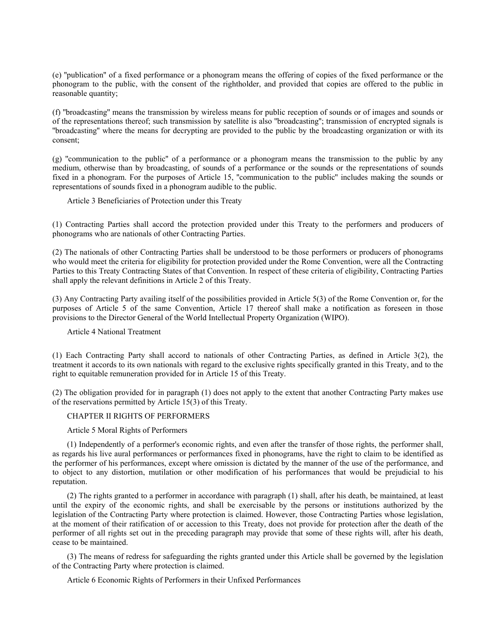(e) ''publication'' of a fixed performance or a phonogram means the offering of copies of the fixed performance or the phonogram to the public, with the consent of the rightholder, and provided that copies are offered to the public in reasonable quantity;

(f) ''broadcasting'' means the transmission by wireless means for public reception of sounds or of images and sounds or of the representations thereof; such transmission by satellite is also ''broadcasting''; transmission of encrypted signals is ''broadcasting'' where the means for decrypting are provided to the public by the broadcasting organization or with its consent;

(g) ''communication to the public'' of a performance or a phonogram means the transmission to the public by any medium, otherwise than by broadcasting, of sounds of a performance or the sounds or the representations of sounds fixed in a phonogram. For the purposes of Article 15, ''communication to the public'' includes making the sounds or representations of sounds fixed in a phonogram audible to the public.

Article 3 Beneficiaries of Protection under this Treaty

(1) Contracting Parties shall accord the protection provided under this Treaty to the performers and producers of phonograms who are nationals of other Contracting Parties.

(2) The nationals of other Contracting Parties shall be understood to be those performers or producers of phonograms who would meet the criteria for eligibility for protection provided under the Rome Convention, were all the Contracting Parties to this Treaty Contracting States of that Convention. In respect of these criteria of eligibility, Contracting Parties shall apply the relevant definitions in Article 2 of this Treaty.

(3) Any Contracting Party availing itself of the possibilities provided in Article 5(3) of the Rome Convention or, for the purposes of Article 5 of the same Convention, Article 17 thereof shall make a notification as foreseen in those provisions to the Director General of the World Intellectual Property Organization (WIPO).

Article 4 National Treatment

(1) Each Contracting Party shall accord to nationals of other Contracting Parties, as defined in Article 3(2), the treatment it accords to its own nationals with regard to the exclusive rights specifically granted in this Treaty, and to the right to equitable remuneration provided for in Article 15 of this Treaty.

(2) The obligation provided for in paragraph (1) does not apply to the extent that another Contracting Party makes use of the reservations permitted by Article 15(3) of this Treaty.

## CHAPTER II RIGHTS OF PERFORMERS

### Article 5 Moral Rights of Performers

(1) Independently of a performer's economic rights, and even after the transfer of those rights, the performer shall, as regards his live aural performances or performances fixed in phonograms, have the right to claim to be identified as the performer of his performances, except where omission is dictated by the manner of the use of the performance, and to object to any distortion, mutilation or other modification of his performances that would be prejudicial to his reputation.

(2) The rights granted to a performer in accordance with paragraph (1) shall, after his death, be maintained, at least until the expiry of the economic rights, and shall be exercisable by the persons or institutions authorized by the legislation of the Contracting Party where protection is claimed. However, those Contracting Parties whose legislation, at the moment of their ratification of or accession to this Treaty, does not provide for protection after the death of the performer of all rights set out in the preceding paragraph may provide that some of these rights will, after his death, cease to be maintained.

(3) The means of redress for safeguarding the rights granted under this Article shall be governed by the legislation of the Contracting Party where protection is claimed.

Article 6 Economic Rights of Performers in their Unfixed Performances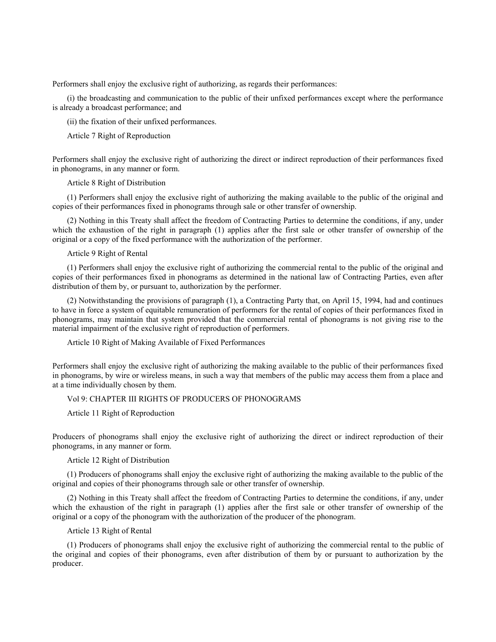Performers shall enjoy the exclusive right of authorizing, as regards their performances:

(i) the broadcasting and communication to the public of their unfixed performances except where the performance is already a broadcast performance; and

(ii) the fixation of their unfixed performances.

Article 7 Right of Reproduction

Performers shall enjoy the exclusive right of authorizing the direct or indirect reproduction of their performances fixed in phonograms, in any manner or form.

Article 8 Right of Distribution

(1) Performers shall enjoy the exclusive right of authorizing the making available to the public of the original and copies of their performances fixed in phonograms through sale or other transfer of ownership.

(2) Nothing in this Treaty shall affect the freedom of Contracting Parties to determine the conditions, if any, under which the exhaustion of the right in paragraph (1) applies after the first sale or other transfer of ownership of the original or a copy of the fixed performance with the authorization of the performer.

Article 9 Right of Rental

(1) Performers shall enjoy the exclusive right of authorizing the commercial rental to the public of the original and copies of their performances fixed in phonograms as determined in the national law of Contracting Parties, even after distribution of them by, or pursuant to, authorization by the performer.

(2) Notwithstanding the provisions of paragraph (1), a Contracting Party that, on April 15, 1994, had and continues to have in force a system of equitable remuneration of performers for the rental of copies of their performances fixed in phonograms, may maintain that system provided that the commercial rental of phonograms is not giving rise to the material impairment of the exclusive right of reproduction of performers.

Article 10 Right of Making Available of Fixed Performances

Performers shall enjoy the exclusive right of authorizing the making available to the public of their performances fixed in phonograms, by wire or wireless means, in such a way that members of the public may access them from a place and at a time individually chosen by them.

# Vol 9: CHAPTER III RIGHTS OF PRODUCERS OF PHONOGRAMS

Article 11 Right of Reproduction

Producers of phonograms shall enjoy the exclusive right of authorizing the direct or indirect reproduction of their phonograms, in any manner or form.

Article 12 Right of Distribution

(1) Producers of phonograms shall enjoy the exclusive right of authorizing the making available to the public of the original and copies of their phonograms through sale or other transfer of ownership.

(2) Nothing in this Treaty shall affect the freedom of Contracting Parties to determine the conditions, if any, under which the exhaustion of the right in paragraph (1) applies after the first sale or other transfer of ownership of the original or a copy of the phonogram with the authorization of the producer of the phonogram.

Article 13 Right of Rental

(1) Producers of phonograms shall enjoy the exclusive right of authorizing the commercial rental to the public of the original and copies of their phonograms, even after distribution of them by or pursuant to authorization by the producer.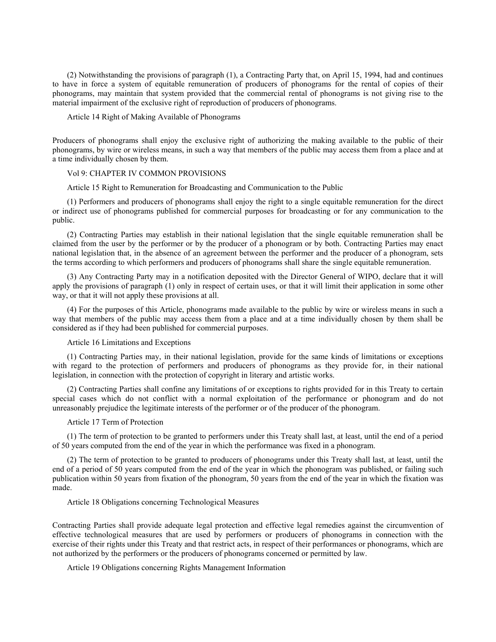(2) Notwithstanding the provisions of paragraph (1), a Contracting Party that, on April 15, 1994, had and continues to have in force a system of equitable remuneration of producers of phonograms for the rental of copies of their phonograms, may maintain that system provided that the commercial rental of phonograms is not giving rise to the material impairment of the exclusive right of reproduction of producers of phonograms.

#### Article 14 Right of Making Available of Phonograms

Producers of phonograms shall enjoy the exclusive right of authorizing the making available to the public of their phonograms, by wire or wireless means, in such a way that members of the public may access them from a place and at a time individually chosen by them.

## Vol 9: CHAPTER IV COMMON PROVISIONS

Article 15 Right to Remuneration for Broadcasting and Communication to the Public

(1) Performers and producers of phonograms shall enjoy the right to a single equitable remuneration for the direct or indirect use of phonograms published for commercial purposes for broadcasting or for any communication to the public.

(2) Contracting Parties may establish in their national legislation that the single equitable remuneration shall be claimed from the user by the performer or by the producer of a phonogram or by both. Contracting Parties may enact national legislation that, in the absence of an agreement between the performer and the producer of a phonogram, sets the terms according to which performers and producers of phonograms shall share the single equitable remuneration.

(3) Any Contracting Party may in a notification deposited with the Director General of WIPO, declare that it will apply the provisions of paragraph (1) only in respect of certain uses, or that it will limit their application in some other way, or that it will not apply these provisions at all.

(4) For the purposes of this Article, phonograms made available to the public by wire or wireless means in such a way that members of the public may access them from a place and at a time individually chosen by them shall be considered as if they had been published for commercial purposes.

### Article 16 Limitations and Exceptions

(1) Contracting Parties may, in their national legislation, provide for the same kinds of limitations or exceptions with regard to the protection of performers and producers of phonograms as they provide for, in their national legislation, in connection with the protection of copyright in literary and artistic works.

(2) Contracting Parties shall confine any limitations of or exceptions to rights provided for in this Treaty to certain special cases which do not conflict with a normal exploitation of the performance or phonogram and do not unreasonably prejudice the legitimate interests of the performer or of the producer of the phonogram.

#### Article 17 Term of Protection

(1) The term of protection to be granted to performers under this Treaty shall last, at least, until the end of a period of 50 years computed from the end of the year in which the performance was fixed in a phonogram.

(2) The term of protection to be granted to producers of phonograms under this Treaty shall last, at least, until the end of a period of 50 years computed from the end of the year in which the phonogram was published, or failing such publication within 50 years from fixation of the phonogram, 50 years from the end of the year in which the fixation was made.

#### Article 18 Obligations concerning Technological Measures

Contracting Parties shall provide adequate legal protection and effective legal remedies against the circumvention of effective technological measures that are used by performers or producers of phonograms in connection with the exercise of their rights under this Treaty and that restrict acts, in respect of their performances or phonograms, which are not authorized by the performers or the producers of phonograms concerned or permitted by law.

#### Article 19 Obligations concerning Rights Management Information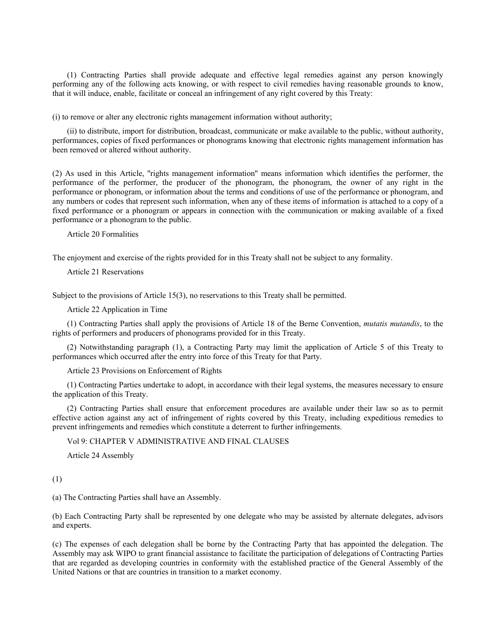(1) Contracting Parties shall provide adequate and effective legal remedies against any person knowingly performing any of the following acts knowing, or with respect to civil remedies having reasonable grounds to know, that it will induce, enable, facilitate or conceal an infringement of any right covered by this Treaty:

(i) to remove or alter any electronic rights management information without authority;

(ii) to distribute, import for distribution, broadcast, communicate or make available to the public, without authority, performances, copies of fixed performances or phonograms knowing that electronic rights management information has been removed or altered without authority.

(2) As used in this Article, ''rights management information'' means information which identifies the performer, the performance of the performer, the producer of the phonogram, the phonogram, the owner of any right in the performance or phonogram, or information about the terms and conditions of use of the performance or phonogram, and any numbers or codes that represent such information, when any of these items of information is attached to a copy of a fixed performance or a phonogram or appears in connection with the communication or making available of a fixed performance or a phonogram to the public.

Article 20 Formalities

The enjoyment and exercise of the rights provided for in this Treaty shall not be subject to any formality.

Article 21 Reservations

Subject to the provisions of Article 15(3), no reservations to this Treaty shall be permitted.

Article 22 Application in Time

(1) Contracting Parties shall apply the provisions of Article 18 of the Berne Convention, *mutatis mutandis*, to the rights of performers and producers of phonograms provided for in this Treaty.

(2) Notwithstanding paragraph (1), a Contracting Party may limit the application of Article 5 of this Treaty to performances which occurred after the entry into force of this Treaty for that Party.

Article 23 Provisions on Enforcement of Rights

(1) Contracting Parties undertake to adopt, in accordance with their legal systems, the measures necessary to ensure the application of this Treaty.

(2) Contracting Parties shall ensure that enforcement procedures are available under their law so as to permit effective action against any act of infringement of rights covered by this Treaty, including expeditious remedies to prevent infringements and remedies which constitute a deterrent to further infringements.

Vol 9: CHAPTER V ADMINISTRATIVE AND FINAL CLAUSES

Article 24 Assembly

(1)

(a) The Contracting Parties shall have an Assembly.

(b) Each Contracting Party shall be represented by one delegate who may be assisted by alternate delegates, advisors and experts.

(c) The expenses of each delegation shall be borne by the Contracting Party that has appointed the delegation. The Assembly may ask WIPO to grant financial assistance to facilitate the participation of delegations of Contracting Parties that are regarded as developing countries in conformity with the established practice of the General Assembly of the United Nations or that are countries in transition to a market economy.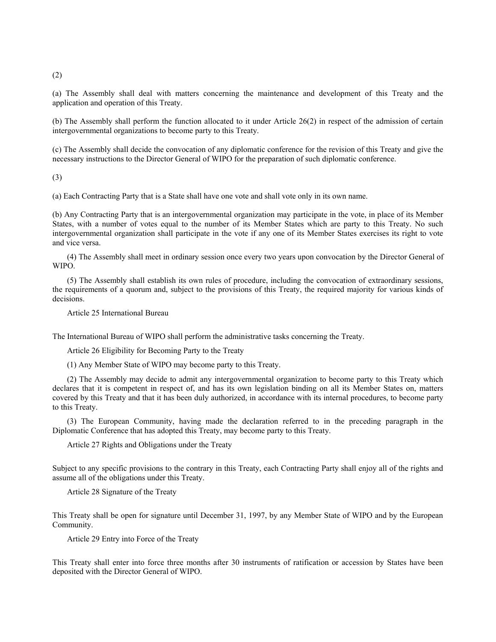(2)

(a) The Assembly shall deal with matters concerning the maintenance and development of this Treaty and the application and operation of this Treaty.

(b) The Assembly shall perform the function allocated to it under Article 26(2) in respect of the admission of certain intergovernmental organizations to become party to this Treaty.

(c) The Assembly shall decide the convocation of any diplomatic conference for the revision of this Treaty and give the necessary instructions to the Director General of WIPO for the preparation of such diplomatic conference.

(3)

(a) Each Contracting Party that is a State shall have one vote and shall vote only in its own name.

(b) Any Contracting Party that is an intergovernmental organization may participate in the vote, in place of its Member States, with a number of votes equal to the number of its Member States which are party to this Treaty. No such intergovernmental organization shall participate in the vote if any one of its Member States exercises its right to vote and vice versa.

(4) The Assembly shall meet in ordinary session once every two years upon convocation by the Director General of WIPO.

(5) The Assembly shall establish its own rules of procedure, including the convocation of extraordinary sessions, the requirements of a quorum and, subject to the provisions of this Treaty, the required majority for various kinds of decisions.

Article 25 International Bureau

The International Bureau of WIPO shall perform the administrative tasks concerning the Treaty.

Article 26 Eligibility for Becoming Party to the Treaty

(1) Any Member State of WIPO may become party to this Treaty.

(2) The Assembly may decide to admit any intergovernmental organization to become party to this Treaty which declares that it is competent in respect of, and has its own legislation binding on all its Member States on, matters covered by this Treaty and that it has been duly authorized, in accordance with its internal procedures, to become party to this Treaty.

(3) The European Community, having made the declaration referred to in the preceding paragraph in the Diplomatic Conference that has adopted this Treaty, may become party to this Treaty.

Article 27 Rights and Obligations under the Treaty

Subject to any specific provisions to the contrary in this Treaty, each Contracting Party shall enjoy all of the rights and assume all of the obligations under this Treaty.

Article 28 Signature of the Treaty

This Treaty shall be open for signature until December 31, 1997, by any Member State of WIPO and by the European Community.

Article 29 Entry into Force of the Treaty

This Treaty shall enter into force three months after 30 instruments of ratification or accession by States have been deposited with the Director General of WIPO.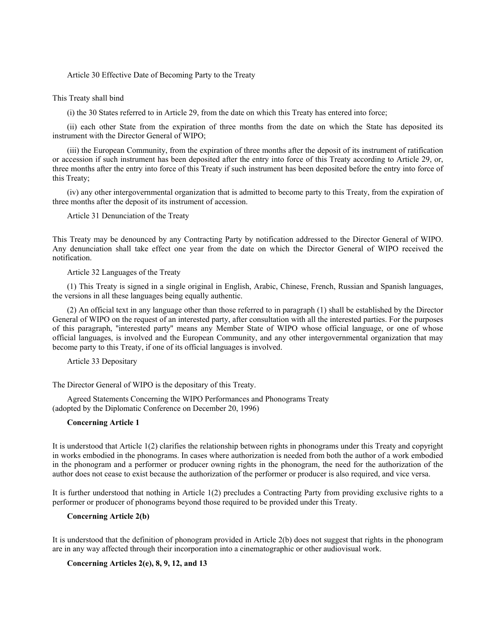Article 30 Effective Date of Becoming Party to the Treaty

This Treaty shall bind

(i) the 30 States referred to in Article 29, from the date on which this Treaty has entered into force;

(ii) each other State from the expiration of three months from the date on which the State has deposited its instrument with the Director General of WIPO;

(iii) the European Community, from the expiration of three months after the deposit of its instrument of ratification or accession if such instrument has been deposited after the entry into force of this Treaty according to Article 29, or, three months after the entry into force of this Treaty if such instrument has been deposited before the entry into force of this Treaty;

(iv) any other intergovernmental organization that is admitted to become party to this Treaty, from the expiration of three months after the deposit of its instrument of accession.

Article 31 Denunciation of the Treaty

This Treaty may be denounced by any Contracting Party by notification addressed to the Director General of WIPO. Any denunciation shall take effect one year from the date on which the Director General of WIPO received the notification.

Article 32 Languages of the Treaty

(1) This Treaty is signed in a single original in English, Arabic, Chinese, French, Russian and Spanish languages, the versions in all these languages being equally authentic.

(2) An official text in any language other than those referred to in paragraph (1) shall be established by the Director General of WIPO on the request of an interested party, after consultation with all the interested parties. For the purposes of this paragraph, ''interested party'' means any Member State of WIPO whose official language, or one of whose official languages, is involved and the European Community, and any other intergovernmental organization that may become party to this Treaty, if one of its official languages is involved.

Article 33 Depositary

The Director General of WIPO is the depositary of this Treaty.

Agreed Statements Concerning the WIPO Performances and Phonograms Treaty (adopted by the Diplomatic Conference on December 20, 1996)

## **Concerning Article 1**

It is understood that Article 1(2) clarifies the relationship between rights in phonograms under this Treaty and copyright in works embodied in the phonograms. In cases where authorization is needed from both the author of a work embodied in the phonogram and a performer or producer owning rights in the phonogram, the need for the authorization of the author does not cease to exist because the authorization of the performer or producer is also required, and vice versa.

It is further understood that nothing in Article 1(2) precludes a Contracting Party from providing exclusive rights to a performer or producer of phonograms beyond those required to be provided under this Treaty.

# **Concerning Article 2(b)**

It is understood that the definition of phonogram provided in Article 2(b) does not suggest that rights in the phonogram are in any way affected through their incorporation into a cinematographic or other audiovisual work.

**Concerning Articles 2(e), 8, 9, 12, and 13**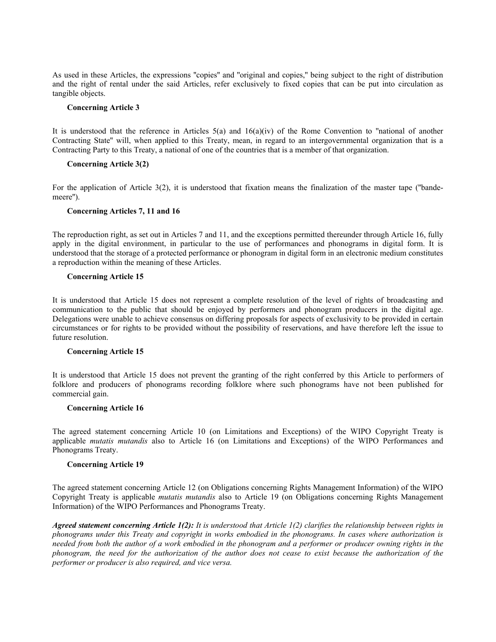As used in these Articles, the expressions ''copies'' and ''original and copies,'' being subject to the right of distribution and the right of rental under the said Articles, refer exclusively to fixed copies that can be put into circulation as tangible objects.

## **Concerning Article 3**

It is understood that the reference in Articles  $5(a)$  and  $16(a)(iv)$  of the Rome Convention to "national of another Contracting State'' will, when applied to this Treaty, mean, in regard to an intergovernmental organization that is a Contracting Party to this Treaty, a national of one of the countries that is a member of that organization.

## **Concerning Article 3(2)**

For the application of Article 3(2), it is understood that fixation means the finalization of the master tape (''bandemeere'').

### **Concerning Articles 7, 11 and 16**

The reproduction right, as set out in Articles 7 and 11, and the exceptions permitted thereunder through Article 16, fully apply in the digital environment, in particular to the use of performances and phonograms in digital form. It is understood that the storage of a protected performance or phonogram in digital form in an electronic medium constitutes a reproduction within the meaning of these Articles.

### **Concerning Article 15**

It is understood that Article 15 does not represent a complete resolution of the level of rights of broadcasting and communication to the public that should be enjoyed by performers and phonogram producers in the digital age. Delegations were unable to achieve consensus on differing proposals for aspects of exclusivity to be provided in certain circumstances or for rights to be provided without the possibility of reservations, and have therefore left the issue to future resolution.

# **Concerning Article 15**

It is understood that Article 15 does not prevent the granting of the right conferred by this Article to performers of folklore and producers of phonograms recording folklore where such phonograms have not been published for commercial gain.

#### **Concerning Article 16**

The agreed statement concerning Article 10 (on Limitations and Exceptions) of the WIPO Copyright Treaty is applicable *mutatis mutandis* also to Article 16 (on Limitations and Exceptions) of the WIPO Performances and Phonograms Treaty.

### **Concerning Article 19**

The agreed statement concerning Article 12 (on Obligations concerning Rights Management Information) of the WIPO Copyright Treaty is applicable *mutatis mutandis* also to Article 19 (on Obligations concerning Rights Management Information) of the WIPO Performances and Phonograms Treaty.

*Agreed statement concerning Article 1(2): It is understood that Article 1(2) clarifies the relationship between rights in phonograms under this Treaty and copyright in works embodied in the phonograms. In cases where authorization is needed from both the author of a work embodied in the phonogram and a performer or producer owning rights in the phonogram, the need for the authorization of the author does not cease to exist because the authorization of the performer or producer is also required, and vice versa.*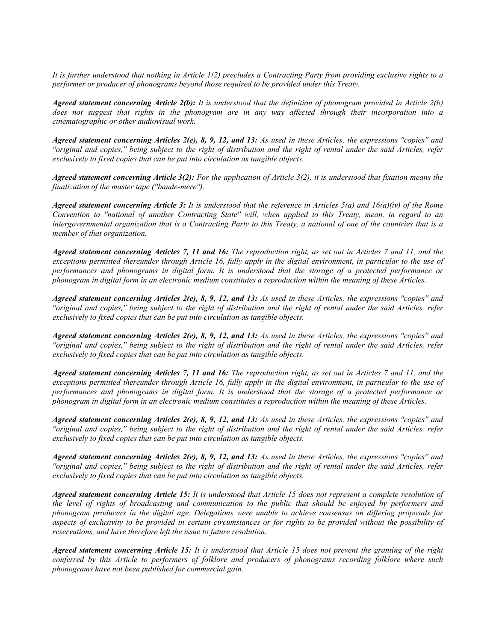*It is further understood that nothing in Article 1(2) precludes a Contracting Party from providing exclusive rights to a performer or producer of phonograms beyond those required to be provided under this Treaty.*

*Agreed statement concerning Article 2(b): It is understood that the definition of phonogram provided in Article 2(b) does not suggest that rights in the phonogram are in any way affected through their incorporation into a cinematographic or other audiovisual work.*

*Agreed statement concerning Articles 2(e), 8, 9, 12, and 13: As used in these Articles, the expressions ''copies'' and ''original and copies,'' being subject to the right of distribution and the right of rental under the said Articles, refer exclusively to fixed copies that can be put into circulation as tangible objects.*

*Agreed statement concerning Article 3(2): For the application of Article 3(2), it is understood that fixation means the finalization of the master tape (''bande-mere'').*

*Agreed statement concerning Article 3: It is understood that the reference in Articles 5(a) and 16(a)(iv) of the Rome Convention to ''national of another Contracting State'' will, when applied to this Treaty, mean, in regard to an intergovernmental organization that is a Contracting Party to this Treaty, a national of one of the countries that is a member of that organization.*

*Agreed statement concerning Articles 7, 11 and 16: The reproduction right, as set out in Articles 7 and 11, and the exceptions permitted thereunder through Article 16, fully apply in the digital environment, in particular to the use of performances and phonograms in digital form. It is understood that the storage of a protected performance or phonogram in digital form in an electronic medium constitutes a reproduction within the meaning of these Articles.*

*Agreed statement concerning Articles 2(e), 8, 9, 12, and 13: As used in these Articles, the expressions ''copies'' and ''original and copies,'' being subject to the right of distribution and the right of rental under the said Articles, refer exclusively to fixed copies that can be put into circulation as tangible objects.*

*Agreed statement concerning Articles 2(e), 8, 9, 12, and 13: As used in these Articles, the expressions ''copies'' and ''original and copies,'' being subject to the right of distribution and the right of rental under the said Articles, refer exclusively to fixed copies that can be put into circulation as tangible objects.*

*Agreed statement concerning Articles 7, 11 and 16: The reproduction right, as set out in Articles 7 and 11, and the exceptions permitted thereunder through Article 16, fully apply in the digital environment, in particular to the use of performances and phonograms in digital form. It is understood that the storage of a protected performance or phonogram in digital form in an electronic medium constitutes a reproduction within the meaning of these Articles.*

*Agreed statement concerning Articles 2(e), 8, 9, 12, and 13: As used in these Articles, the expressions ''copies'' and ''original and copies,'' being subject to the right of distribution and the right of rental under the said Articles, refer exclusively to fixed copies that can be put into circulation as tangible objects.*

*Agreed statement concerning Articles 2(e), 8, 9, 12, and 13: As used in these Articles, the expressions ''copies'' and ''original and copies,'' being subject to the right of distribution and the right of rental under the said Articles, refer exclusively to fixed copies that can be put into circulation as tangible objects.*

*Agreed statement concerning Article 15: It is understood that Article 15 does not represent a complete resolution of the level of rights of broadcasting and communication to the public that should be enjoyed by performers and phonogram producers in the digital age. Delegations were unable to achieve consensus on differing proposals for aspects of exclusivity to be provided in certain circumstances or for rights to be provided without the possibility of reservations, and have therefore left the issue to future resolution.*

*Agreed statement concerning Article 15: It is understood that Article 15 does not prevent the granting of the right conferred by this Article to performers of folklore and producers of phonograms recording folklore where such phonograms have not been published for commercial gain.*